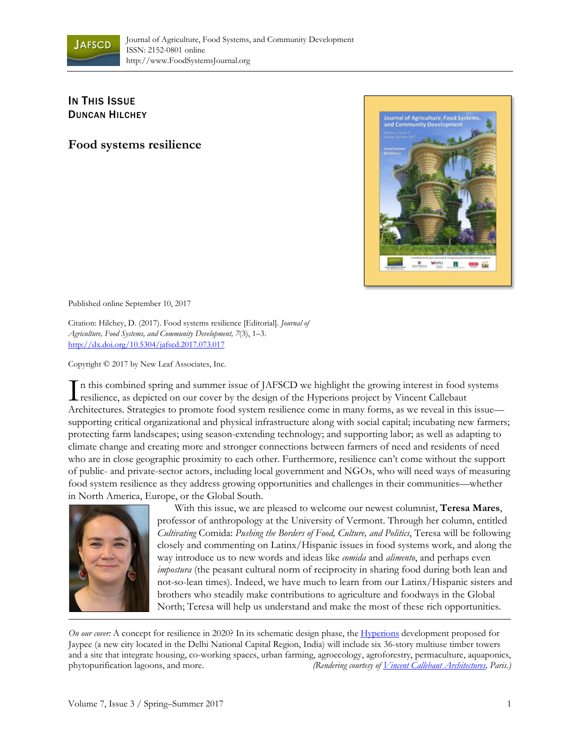

## **IN THIS ISSUE** DUNCAN HILCHEY

**Food systems resilience** 



Published online September 10, 2017

Citation: Hilchey, D. (2017). Food systems resilience [Editorial]. *Journal of Agriculture, Food Systems, and Community Development, 7*(3), 1–3. http://dx.doi.org/10.5304/jafscd.2017.073.017

Copyright © 2017 by New Leaf Associates, Inc.

n this combined spring and summer issue of JAFSCD we highlight the growing interest in food systems In this combined spring and summer issue of JAFSCD we highlight the growing interest in food s<br>resilience, as depicted on our cover by the design of the Hyperions project by Vincent Callebaut Architectures. Strategies to promote food system resilience come in many forms, as we reveal in this issue supporting critical organizational and physical infrastructure along with social capital; incubating new farmers; protecting farm landscapes; using season-extending technology; and supporting labor; as well as adapting to climate change and creating more and stronger connections between farmers of need and residents of need who are in close geographic proximity to each other. Furthermore, resilience can't come without the support of public- and private-sector actors, including local government and NGOs, who will need ways of measuring food system resilience as they address growing opportunities and challenges in their communities—whether in North America, Europe, or the Global South.



 With this issue, we are pleased to welcome our newest columnist, **Teresa Mares**, professor of anthropology at the University of Vermont. Through her column, entitled *Cultivating* Comida: *Pushing the Borders of Food, Culture, and Politics*, Teresa will be following closely and commenting on Latinx/Hispanic issues in food systems work, and along the way introduce us to new words and ideas like *comida* and *alimento*, and perhaps even *impostura* (the peasant cultural norm of reciprocity in sharing food during both lean and not-so-lean times). Indeed, we have much to learn from our Latinx/Hispanic sisters and brothers who steadily make contributions to agriculture and foodways in the Global North; Teresa will help us understand and make the most of these rich opportunities.

*On our cover*: A concept for resilience in 2020? In its schematic design phase, the [Hyperions](http://vincent.callebaut.org/object/160220_hyperions/hyperions/projects) development proposed for Jaypee (a new city located in the Delhi National Capital Region, India) will include six 36-story multiuse timber towers and a site that integrate housing, co-working spaces, urban farming, agroecology, agroforestry, permaculture, aquaponics, phytopurification lagoons, and more. *(Rendering courtesy of [Vincent Callebaut Architectures,](http://vincent.callebaut.org/) Paris.)*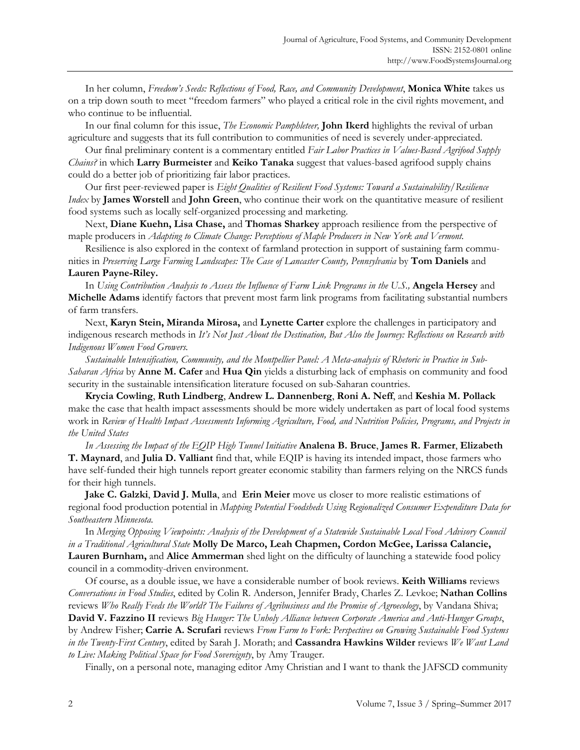In her column, *Freedom's Seeds: Reflections of Food, Race, and Community Development*, **Monica White** takes us on a trip down south to meet "freedom farmers" who played a critical role in the civil rights movement, and who continue to be influential.

 In our final column for this issue, *The Economic Pamphleteer,* **John Ikerd** highlights the revival of urban agriculture and suggests that its full contribution to communities of need is severely under-appreciated.

 Our final preliminary content is a commentary entitled *Fair Labor Practices in Values-Based Agrifood Supply Chains?* in which **Larry Burmeister** and **Keiko Tanaka** suggest that values-based agrifood supply chains could do a better job of prioritizing fair labor practices.

 Our first peer-reviewed paper is *Eight Qualities of Resilient Food Systems: Toward a Sustainability/Resilience Index* by **James Worstell** and **John Green**, who continue their work on the quantitative measure of resilient food systems such as locally self-organized processing and marketing.

 Next, **Diane Kuehn, Lisa Chase,** and **Thomas Sharkey** approach resilience from the perspective of maple producers in *Adapting to Climate Change: Perceptions of Maple Producers in New York and Vermont.*

 Resilience is also explored in the context of farmland protection in support of sustaining farm communities in *Preserving Large Farming Landscapes: The Case of Lancaster County, Pennsylvania* by **Tom Daniels** and **Lauren Payne-Riley.**

 In *Using Contribution Analysis to Assess the Influence of Farm Link Programs in the U.S.,* **Angela Hersey** and **Michelle Adams** identify factors that prevent most farm link programs from facilitating substantial numbers of farm transfers.

 Next, **Karyn Stein, Miranda Mirosa,** and **Lynette Carter** explore the challenges in participatory and indigenous research methods in *It's Not Just About the Destination, But Also the Journey: Reflections on Research with Indigenous Women Food Growers.* 

*Sustainable Intensification, Community, and the Montpellier Panel: A Meta-analysis of Rhetoric in Practice in Sub-Saharan Africa* by **Anne M. Cafer** and **Hua Qin** yields a disturbing lack of emphasis on community and food security in the sustainable intensification literature focused on sub-Saharan countries.

**Krycia Cowling**, **Ruth Lindberg**, **Andrew L. Dannenberg**, **Roni A. Neff**, and **Keshia M. Pollack** make the case that health impact assessments should be more widely undertaken as part of local food systems work in *Review of Health Impact Assessments Informing Agriculture, Food, and Nutrition Policies, Programs, and Projects in the United States*

*In Assessing the Impact of the EQIP High Tunnel Initiative* **Analena B. Bruce**, **James R. Farmer**, **Elizabeth T. Maynard**, and **Julia D. Valliant** find that, while EQIP is having its intended impact, those farmers who have self-funded their high tunnels report greater economic stability than farmers relying on the NRCS funds for their high tunnels.

**Jake C. Galzki**, **David J. Mulla**, and **Erin Meier** move us closer to more realistic estimations of regional food production potential in *Mapping Potential Foodsheds Using Regionalized Consumer Expenditure Data for Southeastern Minnesota.*

 In *Merging Opposing Viewpoints: Analysis of the Development of a Statewide Sustainable Local Food Advisory Council in a Traditional Agricultural State* **Molly De Marco, Leah Chapmen, Cordon McGee, Larissa Calancie, Lauren Burnham,** and **Alice Ammerman** shed light on the difficulty of launching a statewide food policy council in a commodity-driven environment.

 Of course, as a double issue, we have a considerable number of book reviews. **Keith Williams** reviews *Conversations in Food Studies*, edited by Colin R. Anderson, Jennifer Brady, Charles Z. Levkoe; **Nathan Collins**  reviews *Who Really Feeds the World? The Failures of Agribusiness and the Promise of Agroecology*, by Vandana Shiva; **David V. Fazzino II** reviews *Big Hunger: The Unholy Alliance between Corporate America and Anti-Hunger Groups*, by Andrew Fisher; **Carrie A. Scrufari** reviews *From Farm to Fork: Perspectives on Growing Sustainable Food Systems in the Twenty-First Century*, edited by Sarah J. Morath; and **Cassandra Hawkins Wilder** reviews *We Want Land* 

*to Live: Making Political Space for Food Sovereignty*, by Amy Trauger. Finally, on a personal note, managing editor Amy Christian and I want to thank the JAFSCD community